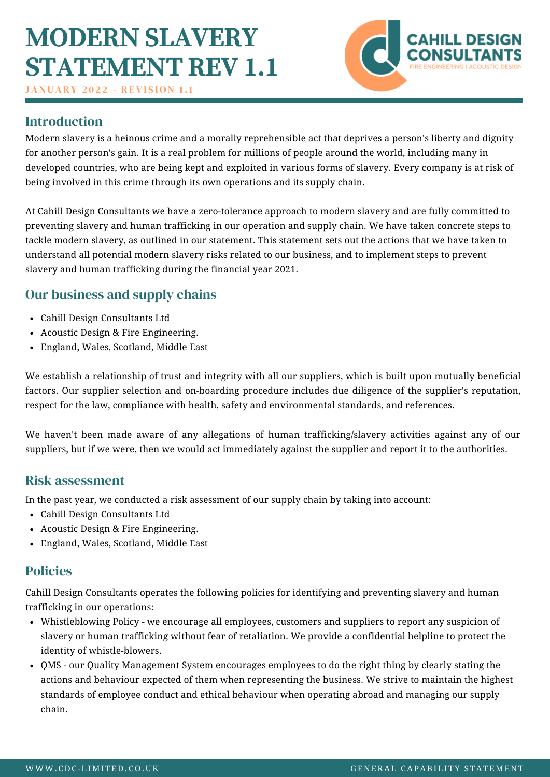## **MODERN SLAVERY STATEMENT REV 1.1**

**JANUARY 2022 - REVISION 1.1** 



### Introduction

Modern slavery is a heinous crime and a morally reprehensible act that deprives a person's liberty and dignity for another person's gain. It is a real problem for millions of people around the world, including many in developed countries, who are being kept and exploited in various forms of slavery. Every company is at risk of being involved in this crime through its own operations and its supply chain.

At Cahill Design Consultants we have a zero-tolerance approach to modern slavery and are fully committed to preventing slavery and human trafficking in our operation and supply chain. We have taken concrete steps to tackle modern slavery, as outlined in our statement. This statement sets out the actions that we have taken to understand all potential modern slavery risks related to our business, and to implement steps to prevent slavery and human trafficking during the financial year 2021.

## Our business and supply chains

- Cahill Design Consultants Ltd
- Acoustic Design & Fire Engineering.
- England, Wales, Scotland, Middle East

We establish a relationship of trust and integrity with all our suppliers, which is built upon mutually beneficial factors. Our supplier selection and on-boarding procedure includes due diligence of the supplier's reputation, respect for the law, compliance with health, safety and environmental standards, and references.

We haven't been made aware of any allegations of human trafficking/slavery activities against any of our suppliers, but if we were, then we would act immediately against the supplier and report it to the authorities.

#### Risk assessment

In the past year, we conducted a risk assessment of our supply chain by taking into account:

- Cahill Design Consultants Ltd
- Acoustic Design & Fire Engineering.
- England, Wales, Scotland, Middle East

### Policies

Cahill Design Consultants operates the following policies for identifying and preventing slavery and human trafficking in our operations:

- Whistleblowing Policy we encourage all employees, customers and suppliers to report any suspicion of slavery or human trafficking without fear of retaliation. We provide a confidential helpline to protect the identity of whistle-blowers.
- QMS our Quality Management System encourages employees to do the right thing by clearly stating the actions and behaviour expected of them when representing the business. We strive to maintain the highest standards of employee conduct and ethical behaviour when operating abroad and managing our supply chain.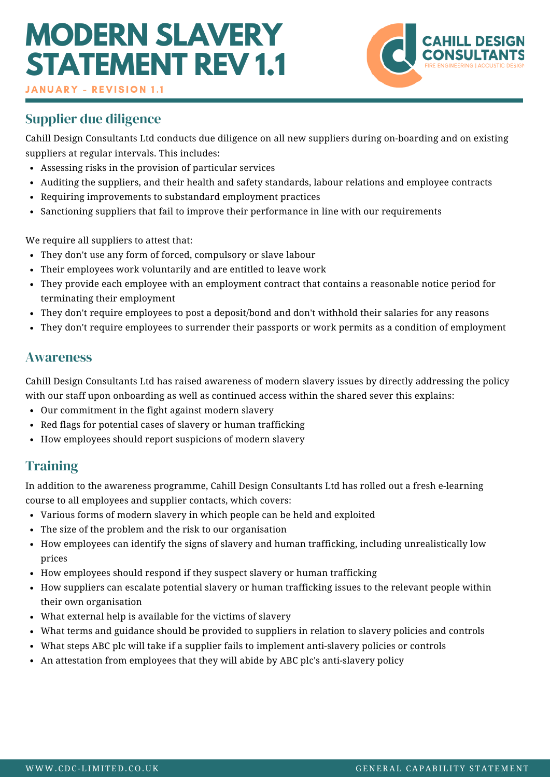# **MODERN SLAVERY STATEMENT REV 1.1**



**JANUARY - REVISION 1.1** 

## Supplier due diligence

Cahill Design Consultants Ltd conducts due diligence on all new suppliers during on-boarding and on existing suppliers at regular intervals. This includes:

- Assessing risks in the provision of particular services
- Auditing the suppliers, and their health and safety standards, labour relations and employee contracts
- Requiring improvements to substandard employment practices
- Sanctioning suppliers that fail to improve their performance in line with our requirements

We require all suppliers to attest that:

- They don't use any form of forced, compulsory or slave labour
- Their employees work voluntarily and are entitled to leave work
- They provide each employee with an employment contract that contains a reasonable notice period for terminating their employment
- They don't require employees to post a deposit/bond and don't withhold their salaries for any reasons
- They don't require employees to surrender their passports or work permits as a condition of employment

#### Awareness

Cahill Design Consultants Ltd has raised awareness of modern slavery issues by directly addressing the policy with our staff upon onboarding as well as continued access within the shared sever this explains:

- Our commitment in the fight against modern slavery
- Red flags for potential cases of slavery or human trafficking
- How employees should report suspicions of modern slavery

### **Training**

In addition to the awareness programme, Cahill Design Consultants Ltd has rolled out a fresh e-learning course to all employees and supplier contacts, which covers:

- Various forms of modern slavery in which people can be held and exploited
- The size of the problem and the risk to our organisation
- How employees can identify the signs of slavery and human trafficking, including unrealistically low prices
- How employees should respond if they suspect slavery or human trafficking
- How suppliers can escalate potential slavery or human trafficking issues to the relevant people within their own organisation
- What external help is available for the victims of slavery
- What terms and guidance should be provided to suppliers in relation to slavery policies and controls
- What steps ABC plc will take if a supplier fails to implement anti-slavery policies or controls
- An attestation from employees that they will abide by ABC plc's anti-slavery policy